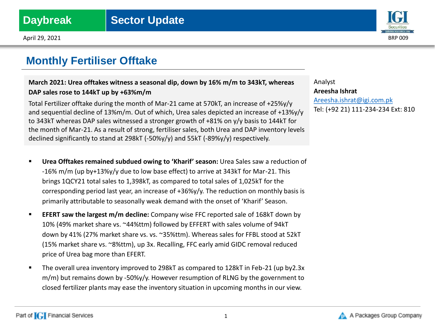

# **Monthly Fertiliser Offtake**

## **March 2021: Urea offtakes witness a seasonal dip, down by 16% m/m to 343kT, whereas DAP sales rose to 144kT up by +63%m/m**

Total Fertilizer offtake during the month of Mar-21 came at 570kT, an increase of +25%y/y and sequential decline of 13%m/m. Out of which, Urea sales depicted an increase of +13%y/y to 343kT whereas DAP sales witnessed a stronger growth of +81% on y/y basis to 144kT for the month of Mar-21. As a result of strong, fertiliser sales, both Urea and DAP inventory levels declined significantly to stand at 298kT (-50%y/y) and 55kT (-89%y/y) respectively.

- **Urea Offtakes remained subdued owing to 'Kharif' season:** Urea Sales saw a reduction of -16% m/m (up by+13%y/y due to low base effect) to arrive at 343kT for Mar-21. This brings 1QCY21 total sales to 1,398kT, as compared to total sales of 1,025kT for the corresponding period last year, an increase of +36%y/y. The reduction on monthly basis is primarily attributable to seasonally weak demand with the onset of 'Kharif' Season.
- **EFERT saw the largest m/m decline:** Company wise FFC reported sale of 168kT down by 10% (49% market share vs. ~44%ttm) followed by EFFERT with sales volume of 94kT down by 41% (27% market share vs. vs. ~35%ttm). Whereas sales for FFBL stood at 52kT (15% market share vs. ~8%ttm), up 3x. Recalling, FFC early amid GIDC removal reduced price of Urea bag more than EFERT.
- The overall urea inventory improved to 298kT as compared to 128kT in Feb-21 (up by2.3x m/m) but remains down by -50%y/y. However resumption of RLNG by the government to closed fertilizer plants may ease the inventory situation in upcoming months in our view.

Analyst **Areesha Ishrat** [Areesha.ishrat@igi.com.pk](mailto:Shumail.rauf@igi.com.pk) Tel: (+92 21) 111-234-234 Ext: 810

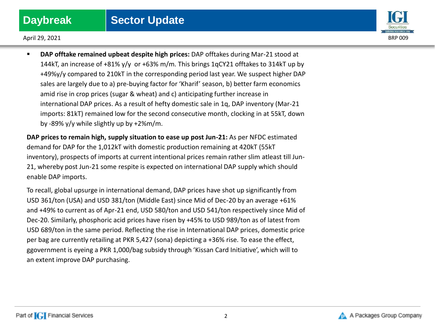

 **DAP offtake remained upbeat despite high prices:** DAP offtakes during Mar-21 stood at 144kT, an increase of  $+81\%$  y/y or  $+63\%$  m/m. This brings 1qCY21 offtakes to 314kT up by +49%y/y compared to 210kT in the corresponding period last year. We suspect higher DAP sales are largely due to a) pre-buying factor for 'Kharif' season, b) better farm economics amid rise in crop prices (sugar & wheat) and c) anticipating further increase in international DAP prices. As a result of hefty domestic sale in 1q, DAP inventory (Mar-21 imports: 81kT) remained low for the second consecutive month, clocking in at 55kT, down by -89% y/y while slightly up by +2%m/m.

**DAP prices to remain high, supply situation to ease up post Jun-21:** As per NFDC estimated demand for DAP for the 1,012kT with domestic production remaining at 420kT (55kT inventory), prospects of imports at current intentional prices remain rather slim atleast till Jun-21, whereby post Jun-21 some respite is expected on international DAP supply which should enable DAP imports.

To recall, global upsurge in international demand, DAP prices have shot up significantly from USD 361/ton (USA) and USD 381/ton (Middle East) since Mid of Dec-20 by an average +61% and +49% to current as of Apr-21 end, USD 580/ton and USD 541/ton respectively since Mid of Dec-20. Similarly, phosphoric acid prices have risen by +45% to USD 989/ton as of latest from USD 689/ton in the same period. Reflecting the rise in International DAP prices, domestic price per bag are currently retailing at PKR 5,427 (sona) depicting a +36% rise. To ease the effect, ggovernment is eyeing a PKR 1,000/bag subsidy through 'Kissan Card Initiative', which will to an extent improve DAP purchasing.

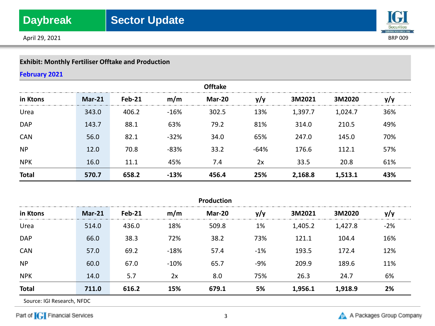

# **Exhibit: Monthly Fertiliser Offtake and Production**

## **February 2021**

| <b>Offtake</b> |               |               |        |        |        |         |         |     |
|----------------|---------------|---------------|--------|--------|--------|---------|---------|-----|
| in Ktons       | <b>Mar-21</b> | <b>Feb-21</b> | m/m    | Mar-20 | y/y    | 3M2021  | 3M2020  | y/y |
| Urea           | 343.0         | 406.2         | $-16%$ | 302.5  | 13%    | 1,397.7 | 1,024.7 | 36% |
| <b>DAP</b>     | 143.7         | 88.1          | 63%    | 79.2   | 81%    | 314.0   | 210.5   | 49% |
| <b>CAN</b>     | 56.0          | 82.1          | $-32%$ | 34.0   | 65%    | 247.0   | 145.0   | 70% |
| <b>NP</b>      | 12.0          | 70.8          | $-83%$ | 33.2   | $-64%$ | 176.6   | 112.1   | 57% |
| <b>NPK</b>     | 16.0          | 11.1          | 45%    | 7.4    | 2x     | 33.5    | 20.8    | 61% |
| <b>Total</b>   | 570.7         | 658.2         | $-13%$ | 456.4  | 25%    | 2,168.8 | 1,513.1 | 43% |

| <b>Production</b> |               |          |        |        |       |         |         |       |
|-------------------|---------------|----------|--------|--------|-------|---------|---------|-------|
| in Ktons          | <b>Mar-21</b> | $Feb-21$ | m/m    | Mar-20 | y/y   | 3M2021  | 3M2020  | y/y   |
| Urea              | 514.0         | 436.0    | 18%    | 509.8  | 1%    | 1,405.2 | 1,427.8 | $-2%$ |
| <b>DAP</b>        | 66.0          | 38.3     | 72%    | 38.2   | 73%   | 121.1   | 104.4   | 16%   |
| <b>CAN</b>        | 57.0          | 69.2     | $-18%$ | 57.4   | $-1%$ | 193.5   | 172.4   | 12%   |
| <b>NP</b>         | 60.0          | 67.0     | $-10%$ | 65.7   | -9%   | 209.9   | 189.6   | 11%   |
| <b>NPK</b>        | 14.0          | 5.7      | 2x     | 8.0    | 75%   | 26.3    | 24.7    | 6%    |
| <b>Total</b>      | 711.0         | 616.2    | 15%    | 679.1  | 5%    | 1,956.1 | 1,918.9 | 2%    |

Source: IGI Research, NFDC

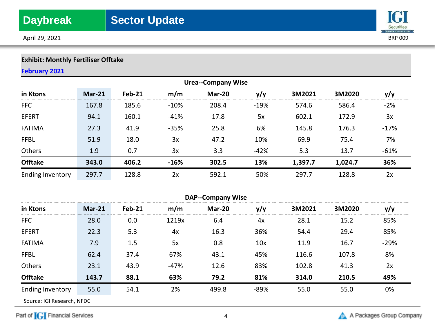

# **Exhibit: Monthly Fertiliser Offtake**

## **February 2021**

| <b>Urea--Company Wise</b> |          |        |        |        |        |         |         |        |
|---------------------------|----------|--------|--------|--------|--------|---------|---------|--------|
| in Ktons                  | $Mar-21$ | Feb-21 | m/m    | Mar-20 | y/y    | 3M2021  | 3M2020  | y/y    |
| <b>FFC</b>                | 167.8    | 185.6  | $-10%$ | 208.4  | $-19%$ | 574.6   | 586.4   | $-2%$  |
| <b>EFERT</b>              | 94.1     | 160.1  | $-41%$ | 17.8   | 5x     | 602.1   | 172.9   | 3x     |
| <b>FATIMA</b>             | 27.3     | 41.9   | $-35%$ | 25.8   | 6%     | 145.8   | 176.3   | $-17%$ |
| <b>FFBL</b>               | 51.9     | 18.0   | 3x     | 47.2   | 10%    | 69.9    | 75.4    | -7%    |
| Others                    | 1.9      | 0.7    | 3x     | 3.3    | $-42%$ | 5.3     | 13.7    | $-61%$ |
| <b>Offtake</b>            | 343.0    | 406.2  | $-16%$ | 302.5  | 13%    | 1,397.7 | 1,024.7 | 36%    |
| Ending Inventory          | 297.7    | 128.8  | 2x     | 592.1  | $-50%$ | 297.7   | 128.8   | 2x     |

| <b>DAP--Company Wise</b> |          |               |        |        |      |        |        |        |
|--------------------------|----------|---------------|--------|--------|------|--------|--------|--------|
| in Ktons                 | $Mar-21$ | <b>Feb-21</b> | m/m    | Mar-20 | y/y  | 3M2021 | 3M2020 | y/y    |
| <b>FFC</b>               | 28.0     | 0.0           | 1219x  | 6.4    | 4x   | 28.1   | 15.2   | 85%    |
| <b>EFERT</b>             | 22.3     | 5.3           | 4x     | 16.3   | 36%  | 54.4   | 29.4   | 85%    |
| <b>FATIMA</b>            | 7.9      | 1.5           | 5x     | 0.8    | 10x  | 11.9   | 16.7   | $-29%$ |
| <b>FFBL</b>              | 62.4     | 37.4          | 67%    | 43.1   | 45%  | 116.6  | 107.8  | 8%     |
| Others                   | 23.1     | 43.9          | $-47%$ | 12.6   | 83%  | 102.8  | 41.3   | 2x     |
| <b>Offtake</b>           | 143.7    | 88.1          | 63%    | 79.2   | 81%  | 314.0  | 210.5  | 49%    |
| Ending Inventory         | 55.0     | 54.1          | 2%     | 499.8  | -89% | 55.0   | 55.0   | 0%     |

Source: IGI Research, NFDC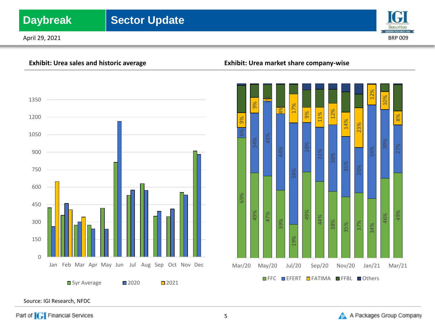# **Daybreak** | Sector Update

April 29, 2021 BRP 009





**Exhibit: Urea sales and historic average Exhibit: Urea market share company-wise**



Source: IGI Research, NFDC

Part of **[G]** Financial Services

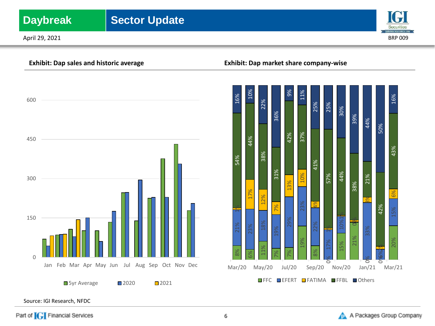# **Daybreak** | Sector Update

April 29, 2021 BRP 009





## **Exhibit: Dap sales and historic average Exhibit: Dap market share company-wise**



Source: IGI Research, NFDC

Part of **[G]** Financial Services

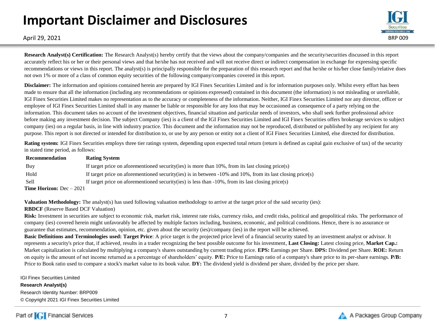# **Important Disclaimer and Disclosures**



April 29, 2021 BRP 009

**Research Analyst(s) Certification:** The Research Analyst(s) hereby certify that the views about the company/companies and the security/securities discussed in this report accurately reflect his or her or their personal views and that he/she has not received and will not receive direct or indirect compensation in exchange for expressing specific recommendations or views in this report. The analyst(s) is principally responsible for the preparation of this research report and that he/she or his/her close family/relative does not own 1% or more of a class of common equity securities of the following company/companies covered in this report.

**Disclaimer:** The information and opinions contained herein are prepared by IGI Finex Securities Limited and is for information purposes only. Whilst every effort has been made to ensure that all the information (including any recommendations or opinions expressed) contained in this document (the information) is not misleading or unreliable, IGI Finex Securities Limited makes no representation as to the accuracy or completeness of the information. Neither, IGI Finex Securities Limited nor any director, officer or employee of IGI Finex Securities Limited shall in any manner be liable or responsible for any loss that may be occasioned as consequence of a party relying on the information. This document takes no account of the investment objectives, financial situation and particular needs of investors, who shall seek further professional advice before making any investment decision. The subject Company (ies) is a client of the IGI Finex Securities Limited and IGI Finex Securities offers brokerage services to subject company (ies) on a regular basis, in line with industry practice. This document and the information may not be reproduced, distributed or published by any recipient for any purpose. This report is not directed or intended for distribution to, or use by any person or entity not a client of IGI Finex Securities Limited, else directed for distribution.

**Rating system:** IGI Finex Securities employs three tier ratings system, depending upon expected total return (return is defined as capital gain exclusive of tax) of the security in stated time period, as follows:

| Recommendation                    | <b>Rating System</b>                                                                                               |
|-----------------------------------|--------------------------------------------------------------------------------------------------------------------|
| Buy                               | If target price on aforementioned security (ies) is more than $10\%$ , from its last closing price (s)             |
| Hold                              | If target price on aforementioned security (ies) is in between $-10\%$ and $10\%$ , from its last closing price(s) |
| <b>Sell</b>                       | If target price on aforementioned security (ies) is less than $-10\%$ , from its last closing price (s)            |
| <b>Time Horizon:</b> $Dec - 2021$ |                                                                                                                    |

**Valuation Methodology:** The analyst(s) has used following valuation methodology to arrive at the target price of the said security (ies):

## **RBDCF** (Reserve Based DCF Valuation)

Risk: Investment in securities are subject to economic risk, market risk, interest rate risks, currency risks, and credit risks, political and geopolitical risks. The performance of company (ies) covered herein might unfavorably be affected by multiple factors including, business, economic, and political conditions. Hence, there is no assurance or guarantee that estimates, recommendation, opinion, etc. given about the security (ies)/company (ies) in the report will be achieved.

**Basic Definitions and Terminologies used: Target Price**: A price target is the projected price level of a financial security stated by an investment analyst or advisor. It represents a security's price that, if achieved, results in a trader recognizing the best possible outcome for his investment, **Last Closing:** Latest closing price, **Market Cap.:**  Market capitalization is calculated by multiplying a company's shares outstanding by current trading price. **EPS:** Earnings per Share. **DPS:** Dividend per Share. **ROE:** Return on equity is the amount of net income returned as a percentage of shareholders' equity. **P/E:** Price to Earnings ratio of a company's share price to its per-share earnings. **P/B:** Price to Book ratio used to compare a stock's market value to its book value. **DY:** The dividend yield is dividend per share, divided by the price per share.

IGI Finex Securities Limited **Research Analyst(s)** Research Identity Number: BRP009 © Copyright 2021 IGI Finex Securities Limited